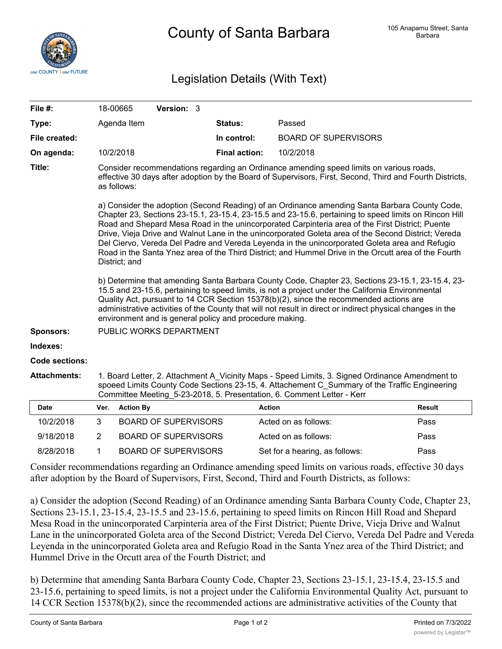

## Legislation Details (With Text)

| File #:               |                                                                                                                                                                                                                                                                                                                                                                                                                                                                                                                                           | 18-00665         | Version: 3                  |  |                      |                             |               |
|-----------------------|-------------------------------------------------------------------------------------------------------------------------------------------------------------------------------------------------------------------------------------------------------------------------------------------------------------------------------------------------------------------------------------------------------------------------------------------------------------------------------------------------------------------------------------------|------------------|-----------------------------|--|----------------------|-----------------------------|---------------|
| Type:                 |                                                                                                                                                                                                                                                                                                                                                                                                                                                                                                                                           | Agenda Item      |                             |  | Status:              | Passed                      |               |
| File created:         |                                                                                                                                                                                                                                                                                                                                                                                                                                                                                                                                           |                  |                             |  | In control:          | <b>BOARD OF SUPERVISORS</b> |               |
| On agenda:            |                                                                                                                                                                                                                                                                                                                                                                                                                                                                                                                                           | 10/2/2018        |                             |  | <b>Final action:</b> | 10/2/2018                   |               |
| Title:                | Consider recommendations regarding an Ordinance amending speed limits on various roads,<br>effective 30 days after adoption by the Board of Supervisors, First, Second, Third and Fourth Districts,<br>as follows:<br>a) Consider the adoption (Second Reading) of an Ordinance amending Santa Barbara County Code,                                                                                                                                                                                                                       |                  |                             |  |                      |                             |               |
|                       | Chapter 23, Sections 23-15.1, 23-15.4, 23-15.5 and 23-15.6, pertaining to speed limits on Rincon Hill<br>Road and Shepard Mesa Road in the unincorporated Carpinteria area of the First District; Puente<br>Drive, Vieja Drive and Walnut Lane in the unincorporated Goleta area of the Second District; Vereda<br>Del Ciervo, Vereda Del Padre and Vereda Leyenda in the unincorporated Goleta area and Refugio<br>Road in the Santa Ynez area of the Third District; and Hummel Drive in the Orcutt area of the Fourth<br>District; and |                  |                             |  |                      |                             |               |
|                       | b) Determine that amending Santa Barbara County Code, Chapter 23, Sections 23-15.1, 23-15.4, 23-<br>15.5 and 23-15.6, pertaining to speed limits, is not a project under the California Environmental<br>Quality Act, pursuant to 14 CCR Section 15378(b)(2), since the recommended actions are<br>administrative activities of the County that will not result in direct or indirect physical changes in the<br>environment and is general policy and procedure making.                                                                  |                  |                             |  |                      |                             |               |
| <b>Sponsors:</b>      | PUBLIC WORKS DEPARTMENT                                                                                                                                                                                                                                                                                                                                                                                                                                                                                                                   |                  |                             |  |                      |                             |               |
| Indexes:              |                                                                                                                                                                                                                                                                                                                                                                                                                                                                                                                                           |                  |                             |  |                      |                             |               |
| <b>Code sections:</b> |                                                                                                                                                                                                                                                                                                                                                                                                                                                                                                                                           |                  |                             |  |                      |                             |               |
| <b>Attachments:</b>   | 1. Board Letter, 2. Attachment A Vicinity Maps - Speed Limits, 3. Signed Ordinance Amendment to<br>spoeed Limits County Code Sections 23-15, 4. Attachement C Summary of the Traffic Engineering<br>Committee Meeting 5-23-2018, 5. Presentation, 6. Comment Letter - Kerr                                                                                                                                                                                                                                                                |                  |                             |  |                      |                             |               |
| <b>Date</b>           | Ver.                                                                                                                                                                                                                                                                                                                                                                                                                                                                                                                                      | <b>Action By</b> |                             |  |                      | <b>Action</b>               | <b>Result</b> |
| 10/2/2018             | 3                                                                                                                                                                                                                                                                                                                                                                                                                                                                                                                                         |                  | <b>BOARD OF SUPERVISORS</b> |  |                      | Acted on as follows:        | Pass          |
| 9/18/2018             | 2                                                                                                                                                                                                                                                                                                                                                                                                                                                                                                                                         |                  | <b>BOARD OF SUPERVISORS</b> |  |                      | Acted on as follows:        | Pass          |

Consider recommendations regarding an Ordinance amending speed limits on various roads, effective 30 days after adoption by the Board of Supervisors, First, Second, Third and Fourth Districts, as follows:

8/28/2018 1 BOARD OF SUPERVISORS Set for a hearing, as follows: Pass

a) Consider the adoption (Second Reading) of an Ordinance amending Santa Barbara County Code, Chapter 23, Sections 23-15.1, 23-15.4, 23-15.5 and 23-15.6, pertaining to speed limits on Rincon Hill Road and Shepard Mesa Road in the unincorporated Carpinteria area of the First District; Puente Drive, Vieja Drive and Walnut Lane in the unincorporated Goleta area of the Second District; Vereda Del Ciervo, Vereda Del Padre and Vereda Leyenda in the unincorporated Goleta area and Refugio Road in the Santa Ynez area of the Third District; and Hummel Drive in the Orcutt area of the Fourth District; and

b) Determine that amending Santa Barbara County Code, Chapter 23, Sections 23-15.1, 23-15.4, 23-15.5 and 23-15.6, pertaining to speed limits, is not a project under the California Environmental Quality Act, pursuant to 14 CCR Section 15378(b)(2), since the recommended actions are administrative activities of the County that